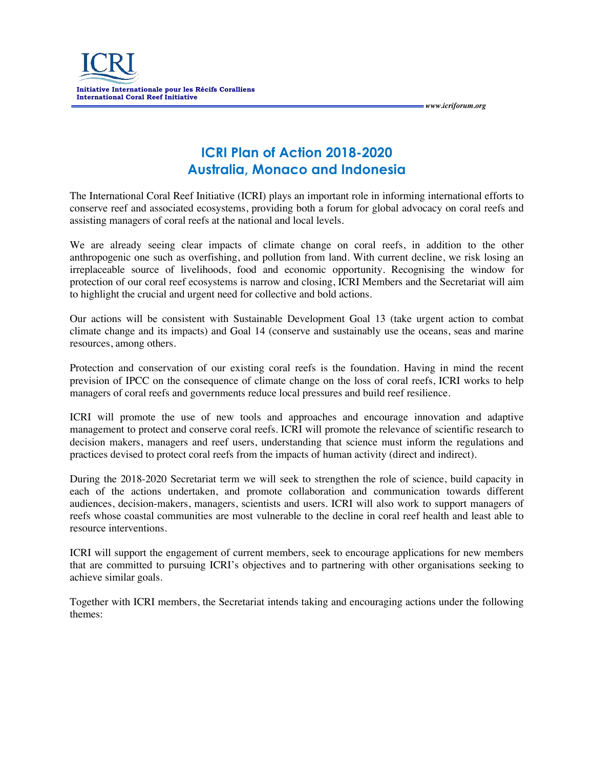

**ICRI Plan of Action 2018-2020 Australia, Monaco and Indonesia**  *www.icriforum.org* 

The International Coral Reef Initiative (ICRI) plays an important role in informing international efforts to conserve reef and associated ecosystems, providing both a forum for global advocacy on coral reefs and assisting managers of coral reefs at the national and local levels.

We are already seeing clear impacts of climate change on coral reefs, in addition to the other anthropogenic one such as overfishing, and pollution from land. With current decline, we risk losing an irreplaceable source of livelihoods, food and economic opportunity. Recognising the window for protection of our coral reef ecosystems is narrow and closing, ICRI Members and the Secretariat will aim to highlight the crucial and urgent need for collective and bold actions.

Our actions will be consistent with Sustainable Development Goal 13 (take urgent action to combat climate change and its impacts) and Goal 14 (conserve and sustainably use the oceans, seas and marine resources, among others.

Protection and conservation of our existing coral reefs is the foundation. Having in mind the recent prevision of IPCC on the consequence of climate change on the loss of coral reefs, ICRI works to help managers of coral reefs and governments reduce local pressures and build reef resilience.

ICRI will promote the use of new tools and approaches and encourage innovation and adaptive management to protect and conserve coral reefs. ICRI will promote the relevance of scientific research to decision makers, managers and reef users, understanding that science must inform the regulations and practices devised to protect coral reefs from the impacts of human activity (direct and indirect).

During the 2018-2020 Secretariat term we will seek to strengthen the role of science, build capacity in each of the actions undertaken, and promote collaboration and communication towards different audiences, decision-makers, managers, scientists and users. ICRI will also work to support managers of reefs whose coastal communities are most vulnerable to the decline in coral reef health and least able to resource interventions.

ICRI will support the engagement of current members, seek to encourage applications for new members that are committed to pursuing ICRI's objectives and to partnering with other organisations seeking to achieve similar goals.

Together with ICRI members, the Secretariat intends taking and encouraging actions under the following themes: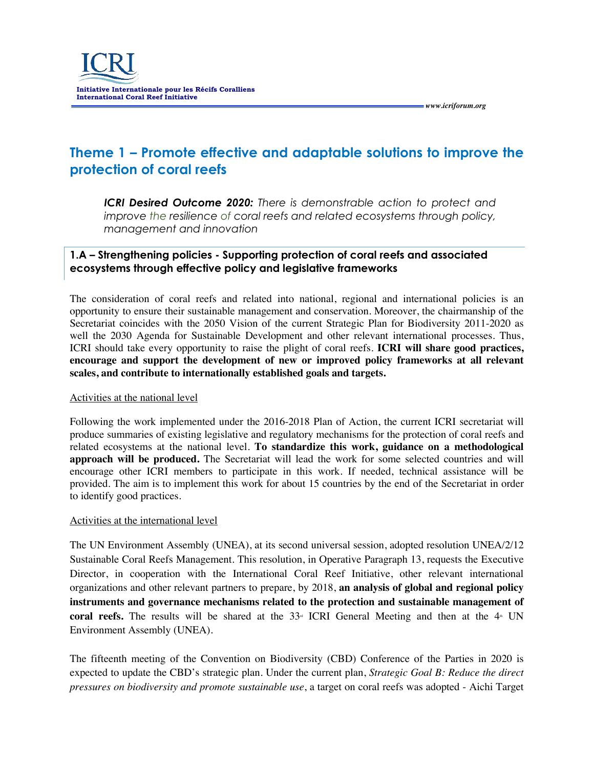# **Theme 1 – Promote effective and adaptable solutions to improve the protection of coral reefs**

 *www.icriforum.org* 

*ICRI Desired Outcome 2020: There is demonstrable action to protect and improve the resilience of coral reefs and related ecosystems through policy, management and innovation* 

### **1.A – Strengthening policies - Supporting protection of coral reefs and associated ecosystems through effective policy and legislative frameworks**

The consideration of coral reefs and related into national, regional and international policies is an opportunity to ensure their sustainable management and conservation. Moreover, the chairmanship of the Secretariat coincides with the 2050 Vision of the current Strategic Plan for Biodiversity 2011-2020 as well the 2030 Agenda for Sustainable Development and other relevant international processes. Thus, ICRI should take every opportunity to raise the plight of coral reefs. **ICRI will share good practices, encourage and support the development of new or improved policy frameworks at all relevant scales, and contribute to internationally established goals and targets.**

#### Activities at the national level

Following the work implemented under the 2016-2018 Plan of Action, the current ICRI secretariat will produce summaries of existing legislative and regulatory mechanisms for the protection of coral reefs and related ecosystems at the national level. **To standardize this work, guidance on a methodological approach will be produced.** The Secretariat will lead the work for some selected countries and will encourage other ICRI members to participate in this work. If needed, technical assistance will be provided. The aim is to implement this work for about 15 countries by the end of the Secretariat in order to identify good practices.

#### Activities at the international level

The UN Environment Assembly (UNEA), at its second universal session, adopted resolution UNEA/2/12 Sustainable Coral Reefs Management. This resolution, in Operative Paragraph 13, requests the Executive Director, in cooperation with the International Coral Reef Initiative, other relevant international organizations and other relevant partners to prepare, by 2018, **an analysis of global and regional policy instruments and governance mechanisms related to the protection and sustainable management of coral reefs.** The results will be shared at the  $33\textdegree$  ICRI General Meeting and then at the  $4\textdegree$  UN Environment Assembly (UNEA).

The fifteenth meeting of the Convention on Biodiversity (CBD) Conference of the Parties in 2020 is expected to update the CBD's strategic plan. Under the current plan, *Strategic Goal B: Reduce the direct pressures on biodiversity and promote sustainable use*, a target on coral reefs was adopted - Aichi Target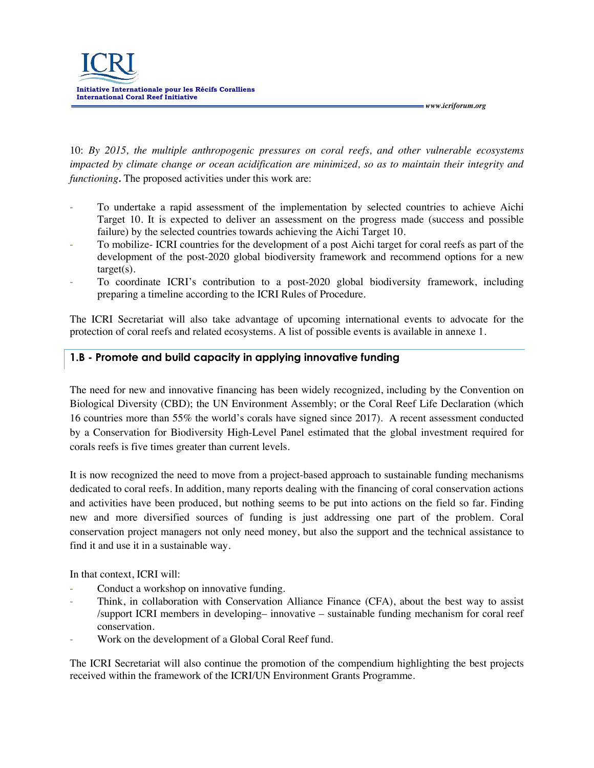

10: *By 2015, the multiple anthropogenic pressures on coral reefs, and other vulnerable ecosystems impacted by climate change or ocean acidification are minimized, so as to maintain their integrity and functioning.* The proposed activities under this work are:

 *www.icriforum.org* 

- To undertake a rapid assessment of the implementation by selected countries to achieve Aichi Target 10. It is expected to deliver an assessment on the progress made (success and possible failure) by the selected countries towards achieving the Aichi Target 10.
- To mobilize- ICRI countries for the development of a post Aichi target for coral reefs as part of the development of the post-2020 global biodiversity framework and recommend options for a new target(s).
- To coordinate ICRI's contribution to a post-2020 global biodiversity framework, including preparing a timeline according to the ICRI Rules of Procedure.

The ICRI Secretariat will also take advantage of upcoming international events to advocate for the protection of coral reefs and related ecosystems. A list of possible events is available in annexe 1.

### **1.B - Promote and build capacity in applying innovative funding**

The need for new and innovative financing has been widely recognized, including by the Convention on Biological Diversity (CBD); the UN Environment Assembly; or the Coral Reef Life Declaration (which 16 countries more than 55% the world's corals have signed since 2017). A recent assessment conducted by a Conservation for Biodiversity High-Level Panel estimated that the global investment required for corals reefs is five times greater than current levels.

It is now recognized the need to move from a project-based approach to sustainable funding mechanisms dedicated to coral reefs. In addition, many reports dealing with the financing of coral conservation actions and activities have been produced, but nothing seems to be put into actions on the field so far. Finding new and more diversified sources of funding is just addressing one part of the problem. Coral conservation project managers not only need money, but also the support and the technical assistance to find it and use it in a sustainable way.

In that context, ICRI will:

- Conduct a workshop on innovative funding.
- Think, in collaboration with Conservation Alliance Finance (CFA), about the best way to assist /support ICRI members in developing– innovative – sustainable funding mechanism for coral reef conservation.
- Work on the development of a Global Coral Reef fund.

The ICRI Secretariat will also continue the promotion of the compendium highlighting the best projects received within the framework of the ICRI/UN Environment Grants Programme.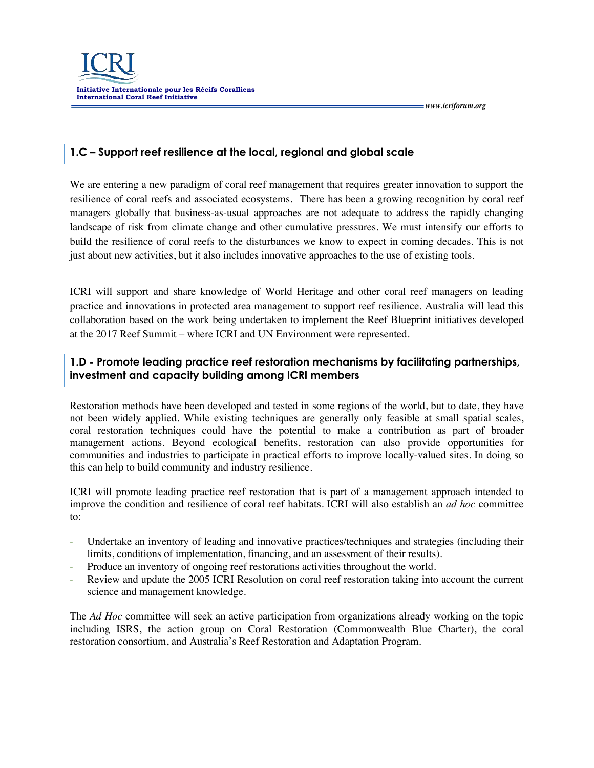

 *www.icriforum.org* 

### **1.C – Support reef resilience at the local, regional and global scale**

We are entering a new paradigm of coral reef management that requires greater innovation to support the resilience of coral reefs and associated ecosystems. There has been a growing recognition by coral reef managers globally that business-as-usual approaches are not adequate to address the rapidly changing landscape of risk from climate change and other cumulative pressures. We must intensify our efforts to build the resilience of coral reefs to the disturbances we know to expect in coming decades. This is not just about new activities, but it also includes innovative approaches to the use of existing tools.

ICRI will support and share knowledge of World Heritage and other coral reef managers on leading practice and innovations in protected area management to support reef resilience. Australia will lead this collaboration based on the work being undertaken to implement the Reef Blueprint initiatives developed at the 2017 Reef Summit – where ICRI and UN Environment were represented.

### **1.D - Promote leading practice reef restoration mechanisms by facilitating partnerships, investment and capacity building among ICRI members**

Restoration methods have been developed and tested in some regions of the world, but to date, they have not been widely applied. While existing techniques are generally only feasible at small spatial scales, coral restoration techniques could have the potential to make a contribution as part of broader management actions. Beyond ecological benefits, restoration can also provide opportunities for communities and industries to participate in practical efforts to improve locally-valued sites. In doing so this can help to build community and industry resilience.

ICRI will promote leading practice reef restoration that is part of a management approach intended to improve the condition and resilience of coral reef habitats. ICRI will also establish an *ad hoc* committee to:

- Undertake an inventory of leading and innovative practices/techniques and strategies (including their limits, conditions of implementation, financing, and an assessment of their results).
- Produce an inventory of ongoing reef restorations activities throughout the world.
- Review and update the 2005 ICRI Resolution on coral reef restoration taking into account the current science and management knowledge.

The *Ad Hoc* committee will seek an active participation from organizations already working on the topic including ISRS, the action group on Coral Restoration (Commonwealth Blue Charter), the coral restoration consortium, and Australia's Reef Restoration and Adaptation Program.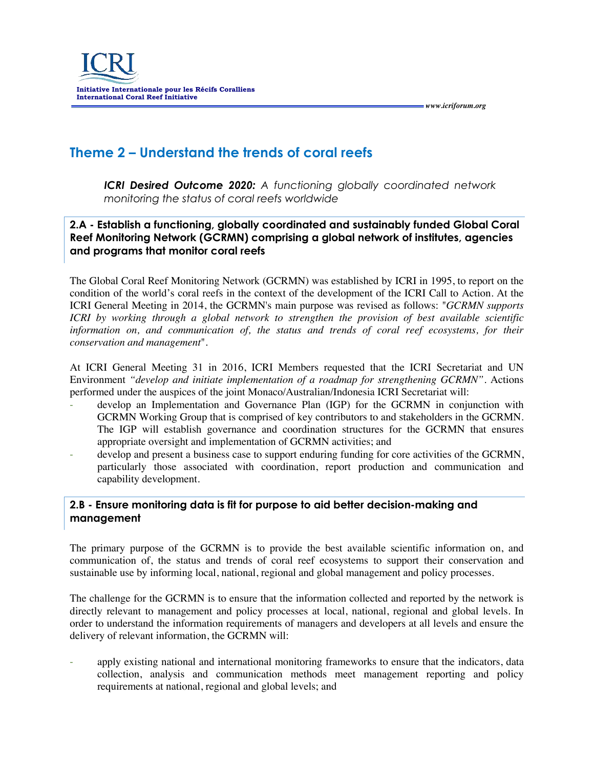

# **Theme 2 – Understand the trends of coral reefs**

*ICRI Desired Outcome 2020: A functioning globally coordinated network monitoring the status of coral reefs worldwide*

 *www.icriforum.org* 

**2.A - Establish a functioning, globally coordinated and sustainably funded Global Coral Reef Monitoring Network (GCRMN) comprising a global network of institutes, agencies and programs that monitor coral reefs**

The Global Coral Reef Monitoring Network (GCRMN) was established by ICRI in 1995, to report on the condition of the world's coral reefs in the context of the development of the ICRI Call to Action. At the ICRI General Meeting in 2014, the GCRMN's main purpose was revised as follows: "*GCRMN supports ICRI* by working through a global network to strengthen the provision of best available scientific *information on, and communication of, the status and trends of coral reef ecosystems, for their conservation and management*".

At ICRI General Meeting 31 in 2016, ICRI Members requested that the ICRI Secretariat and UN Environment *"develop and initiate implementation of a roadmap for strengthening GCRMN"*. Actions performed under the auspices of the joint Monaco/Australian/Indonesia ICRI Secretariat will:

- develop an Implementation and Governance Plan (IGP) for the GCRMN in conjunction with GCRMN Working Group that is comprised of key contributors to and stakeholders in the GCRMN. The IGP will establish governance and coordination structures for the GCRMN that ensures appropriate oversight and implementation of GCRMN activities; and
- develop and present a business case to support enduring funding for core activities of the GCRMN, particularly those associated with coordination, report production and communication and capability development.

### **2.B - Ensure monitoring data is fit for purpose to aid better decision-making and management**

The primary purpose of the GCRMN is to provide the best available scientific information on, and communication of, the status and trends of coral reef ecosystems to support their conservation and sustainable use by informing local, national, regional and global management and policy processes.

The challenge for the GCRMN is to ensure that the information collected and reported by the network is directly relevant to management and policy processes at local, national, regional and global levels. In order to understand the information requirements of managers and developers at all levels and ensure the delivery of relevant information, the GCRMN will:

apply existing national and international monitoring frameworks to ensure that the indicators, data collection, analysis and communication methods meet management reporting and policy requirements at national, regional and global levels; and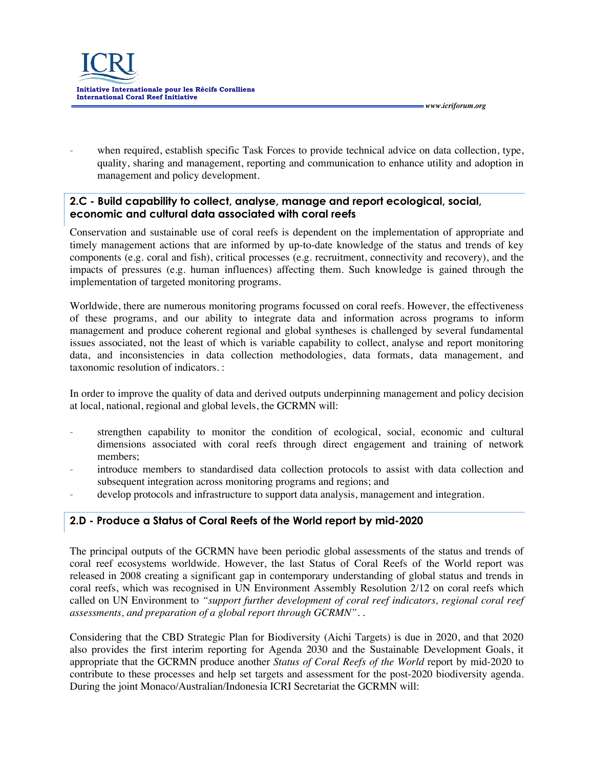

when required, establish specific Task Forces to provide technical advice on data collection, type, quality, sharing and management, reporting and communication to enhance utility and adoption in management and policy development.

 *www.icriforum.org* 

### **2.C - Build capability to collect, analyse, manage and report ecological, social, economic and cultural data associated with coral reefs**

Conservation and sustainable use of coral reefs is dependent on the implementation of appropriate and timely management actions that are informed by up-to-date knowledge of the status and trends of key components (e.g. coral and fish), critical processes (e.g. recruitment, connectivity and recovery), and the impacts of pressures (e.g. human influences) affecting them. Such knowledge is gained through the implementation of targeted monitoring programs.

Worldwide, there are numerous monitoring programs focussed on coral reefs. However, the effectiveness of these programs, and our ability to integrate data and information across programs to inform management and produce coherent regional and global syntheses is challenged by several fundamental issues associated, not the least of which is variable capability to collect, analyse and report monitoring data, and inconsistencies in data collection methodologies, data formats, data management, and taxonomic resolution of indicators. :

In order to improve the quality of data and derived outputs underpinning management and policy decision at local, national, regional and global levels, the GCRMN will:

- strengthen capability to monitor the condition of ecological, social, economic and cultural dimensions associated with coral reefs through direct engagement and training of network members;
- introduce members to standardised data collection protocols to assist with data collection and subsequent integration across monitoring programs and regions; and
- develop protocols and infrastructure to support data analysis, management and integration.

### **2.D - Produce a Status of Coral Reefs of the World report by mid-2020**

The principal outputs of the GCRMN have been periodic global assessments of the status and trends of coral reef ecosystems worldwide. However, the last Status of Coral Reefs of the World report was released in 2008 creating a significant gap in contemporary understanding of global status and trends in coral reefs, which was recognised in UN Environment Assembly Resolution 2/12 on coral reefs which called on UN Environment to "support further development of coral reef indicators, regional coral reef *assessments, and preparation of a global report through GCRMN".* .

Considering that the CBD Strategic Plan for Biodiversity (Aichi Targets) is due in 2020, and that 2020 also provides the first interim reporting for Agenda 2030 and the Sustainable Development Goals, it appropriate that the GCRMN produce another *Status of Coral Reefs of the World* report by mid-2020 to contribute to these processes and help set targets and assessment for the post-2020 biodiversity agenda. During the joint Monaco/Australian/Indonesia ICRI Secretariat the GCRMN will: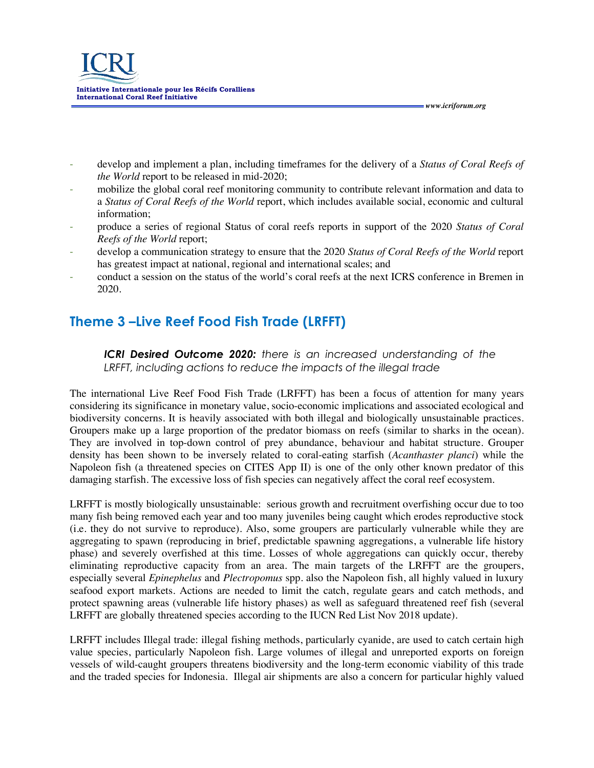

- develop and implement a plan, including timeframes for the delivery of a *Status of Coral Reefs of the World* report to be released in mid-2020;

 *www.icriforum.org* 

- mobilize the global coral reef monitoring community to contribute relevant information and data to a *Status of Coral Reefs of the World* report, which includes available social, economic and cultural information;
- produce a series of regional Status of coral reefs reports in support of the 2020 *Status of Coral Reefs of the World* report;
- develop a communication strategy to ensure that the 2020 *Status of Coral Reefs of the World* report has greatest impact at national, regional and international scales; and
- conduct a session on the status of the world's coral reefs at the next ICRS conference in Bremen in 2020.

# **Theme 3 –Live Reef Food Fish Trade (LRFFT)**

*ICRI Desired Outcome 2020: there is an increased understanding of the LRFFT, including actions to reduce the impacts of the illegal trade*

The international Live Reef Food Fish Trade (LRFFT) has been a focus of attention for many years considering its significance in monetary value, socio-economic implications and associated ecological and biodiversity concerns. It is heavily associated with both illegal and biologically unsustainable practices. Groupers make up a large proportion of the predator biomass on reefs (similar to sharks in the ocean). They are involved in top-down control of prey abundance, behaviour and habitat structure. Grouper density has been shown to be inversely related to coral-eating starfish (*Acanthaster planci*) while the Napoleon fish (a threatened species on CITES App II) is one of the only other known predator of this damaging starfish. The excessive loss of fish species can negatively affect the coral reef ecosystem.

LRFFT is mostly biologically unsustainable: serious growth and recruitment overfishing occur due to too many fish being removed each year and too many juveniles being caught which erodes reproductive stock (i.e. they do not survive to reproduce). Also, some groupers are particularly vulnerable while they are aggregating to spawn (reproducing in brief, predictable spawning aggregations, a vulnerable life history phase) and severely overfished at this time. Losses of whole aggregations can quickly occur, thereby eliminating reproductive capacity from an area. The main targets of the LRFFT are the groupers, especially several *Epinephelus* and *Plectropomus* spp. also the Napoleon fish, all highly valued in luxury seafood export markets. Actions are needed to limit the catch, regulate gears and catch methods, and protect spawning areas (vulnerable life history phases) as well as safeguard threatened reef fish (several LRFFT are globally threatened species according to the IUCN Red List Nov 2018 update).

LRFFT includes Illegal trade: illegal fishing methods, particularly cyanide, are used to catch certain high value species, particularly Napoleon fish. Large volumes of illegal and unreported exports on foreign vessels of wild-caught groupers threatens biodiversity and the long-term economic viability of this trade and the traded species for Indonesia. Illegal air shipments are also a concern for particular highly valued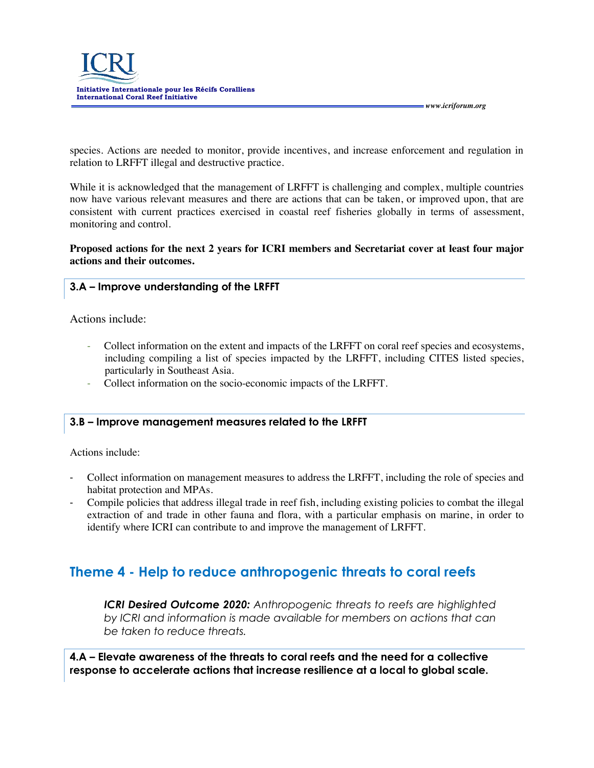

species. Actions are needed to monitor, provide incentives, and increase enforcement and regulation in relation to LRFFT illegal and destructive practice.

 *www.icriforum.org* 

While it is acknowledged that the management of LRFFT is challenging and complex, multiple countries now have various relevant measures and there are actions that can be taken, or improved upon, that are consistent with current practices exercised in coastal reef fisheries globally in terms of assessment, monitoring and control.

**Proposed actions for the next 2 years for ICRI members and Secretariat cover at least four major actions and their outcomes.**

### **3.A – Improve understanding of the LRFFT**

Actions include:

- Collect information on the extent and impacts of the LRFFT on coral reef species and ecosystems, including compiling a list of species impacted by the LRFFT, including CITES listed species, particularly in Southeast Asia.
- Collect information on the socio-economic impacts of the LRFFT.

#### **3.B – Improve management measures related to the LRFFT**

Actions include:

- Collect information on management measures to address the LRFFT, including the role of species and habitat protection and MPAs.
- Compile policies that address illegal trade in reef fish, including existing policies to combat the illegal extraction of and trade in other fauna and flora, with a particular emphasis on marine, in order to identify where ICRI can contribute to and improve the management of LRFFT.

### **Theme 4 - Help to reduce anthropogenic threats to coral reefs**

*ICRI Desired Outcome 2020: Anthropogenic threats to reefs are highlighted by ICRI and information is made available for members on actions that can be taken to reduce threats.* 

**4.A – Elevate awareness of the threats to coral reefs and the need for a collective response to accelerate actions that increase resilience at a local to global scale.**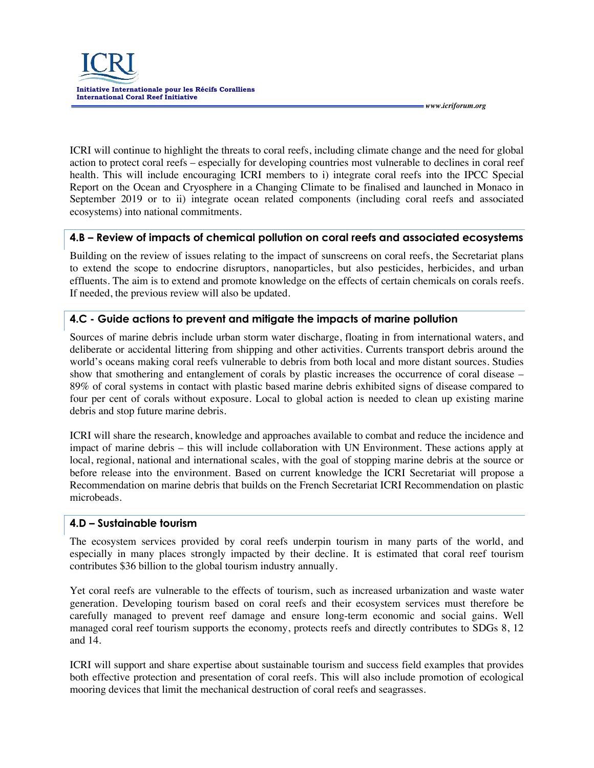

 *www.icriforum.org* 

ICRI will continue to highlight the threats to coral reefs, including climate change and the need for global action to protect coral reefs – especially for developing countries most vulnerable to declines in coral reef health. This will include encouraging ICRI members to i) integrate coral reefs into the IPCC Special Report on the Ocean and Cryosphere in a Changing Climate to be finalised and launched in Monaco in September 2019 or to ii) integrate ocean related components (including coral reefs and associated ecosystems) into national commitments.

### **4.B – Review of impacts of chemical pollution on coral reefs and associated ecosystems**

Building on the review of issues relating to the impact of sunscreens on coral reefs, the Secretariat plans to extend the scope to endocrine disruptors, nanoparticles, but also pesticides, herbicides, and urban effluents. The aim is to extend and promote knowledge on the effects of certain chemicals on corals reefs. If needed, the previous review will also be updated.

### **4.C - Guide actions to prevent and mitigate the impacts of marine pollution**

Sources of marine debris include urban storm water discharge, floating in from international waters, and deliberate or accidental littering from shipping and other activities. Currents transport debris around the world's oceans making coral reefs vulnerable to debris from both local and more distant sources. Studies show that smothering and entanglement of corals by plastic increases the occurrence of coral disease – 89% of coral systems in contact with plastic based marine debris exhibited signs of disease compared to four per cent of corals without exposure. Local to global action is needed to clean up existing marine debris and stop future marine debris.

ICRI will share the research, knowledge and approaches available to combat and reduce the incidence and impact of marine debris – this will include collaboration with UN Environment. These actions apply at local, regional, national and international scales, with the goal of stopping marine debris at the source or before release into the environment. Based on current knowledge the ICRI Secretariat will propose a Recommendation on marine debris that builds on the French Secretariat ICRI Recommendation on plastic microbeads.

### **4.D – Sustainable tourism**

The ecosystem services provided by coral reefs underpin tourism in many parts of the world, and especially in many places strongly impacted by their decline. It is estimated that coral reef tourism contributes \$36 billion to the global tourism industry annually.

Yet coral reefs are vulnerable to the effects of tourism, such as increased urbanization and waste water generation. Developing tourism based on coral reefs and their ecosystem services must therefore be carefully managed to prevent reef damage and ensure long-term economic and social gains. Well managed coral reef tourism supports the economy, protects reefs and directly contributes to SDGs 8, 12 and 14.

ICRI will support and share expertise about sustainable tourism and success field examples that provides both effective protection and presentation of coral reefs. This will also include promotion of ecological mooring devices that limit the mechanical destruction of coral reefs and seagrasses.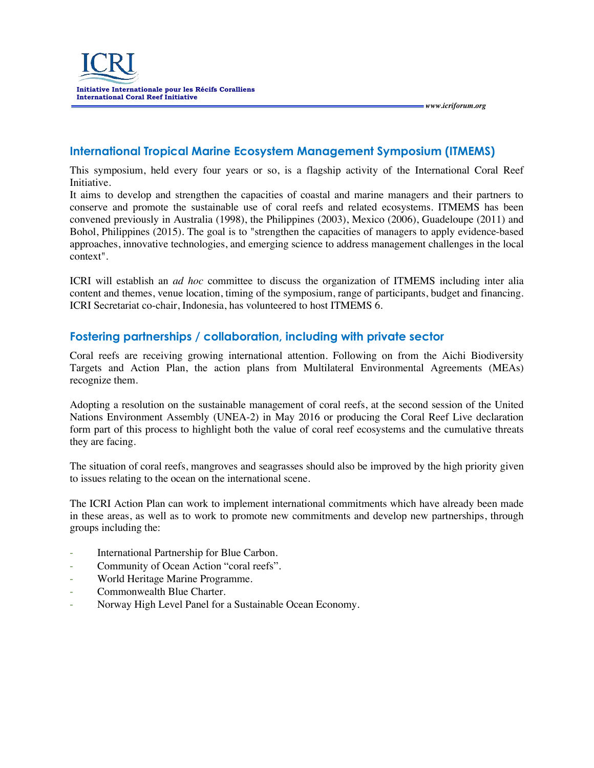

### **International Tropical Marine Ecosystem Management Symposium (ITMEMS)**

This symposium, held every four years or so, is a flagship activity of the International Coral Reef Initiative.

 *www.icriforum.org* 

It aims to develop and strengthen the capacities of coastal and marine managers and their partners to conserve and promote the sustainable use of coral reefs and related ecosystems. ITMEMS has been convened previously in Australia (1998), the Philippines (2003), Mexico (2006), Guadeloupe (2011) and Bohol, Philippines (2015). The goal is to "strengthen the capacities of managers to apply evidence-based approaches, innovative technologies, and emerging science to address management challenges in the local context".

ICRI will establish an *ad hoc* committee to discuss the organization of ITMEMS including inter alia content and themes, venue location, timing of the symposium, range of participants, budget and financing. ICRI Secretariat co-chair, Indonesia, has volunteered to host ITMEMS 6.

### **Fostering partnerships / collaboration, including with private sector**

Coral reefs are receiving growing international attention. Following on from the Aichi Biodiversity Targets and Action Plan, the action plans from Multilateral Environmental Agreements (MEAs) recognize them.

Adopting a resolution on the sustainable management of coral reefs, at the second session of the United Nations Environment Assembly (UNEA-2) in May 2016 or producing the Coral Reef Live declaration form part of this process to highlight both the value of coral reef ecosystems and the cumulative threats they are facing.

The situation of coral reefs, mangroves and seagrasses should also be improved by the high priority given to issues relating to the ocean on the international scene.

The ICRI Action Plan can work to implement international commitments which have already been made in these areas, as well as to work to promote new commitments and develop new partnerships, through groups including the:

- International Partnership for Blue Carbon.
- Community of Ocean Action "coral reefs".
- World Heritage Marine Programme.
- Commonwealth Blue Charter.
- Norway High Level Panel for a Sustainable Ocean Economy.